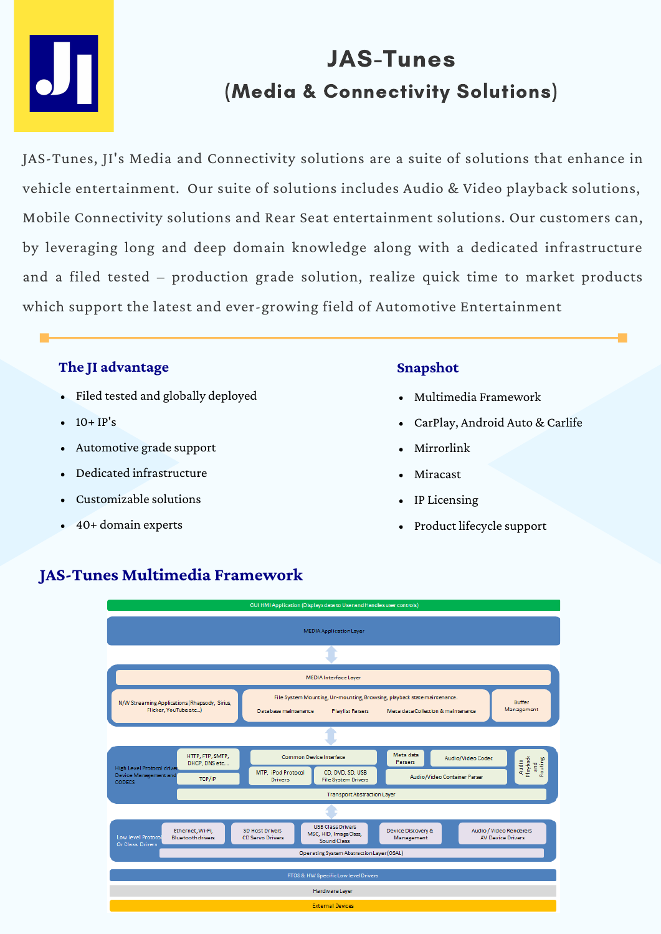

# JAS-Tunes (Media & Connectivity Solutions)

JAS-Tunes, JI's Media and Connectivity solutions are a suite of solutions that enhance in vehicle entertainment. Our suite of solutions includes Audio & Video playback solutions, Mobile Connectivity solutions and Rear Seat entertainment solutions. Our customers can, by leveraging long and deep domain knowledge along with a dedicated infrastructure and a filed tested – production grade solution, realize quick time to market products which support the latest and ever-growing field of Automotive Entertainment

## **The JI advantage**

- Filed tested and globally deployed
- $\bullet$  10+ IP's
- Automotive grade support
- Dedicated infrastructure
- Customizable solutions
- 40+ domain experts

## **Snapshot**

- Multimedia Framework
- CarPlay, Android Auto & Carlife
- Mirrorlink
- Miracast
- IP Licensing  $\bullet$
- Product lifecycle support



## **JAS-Tunes Multimedia Framework**